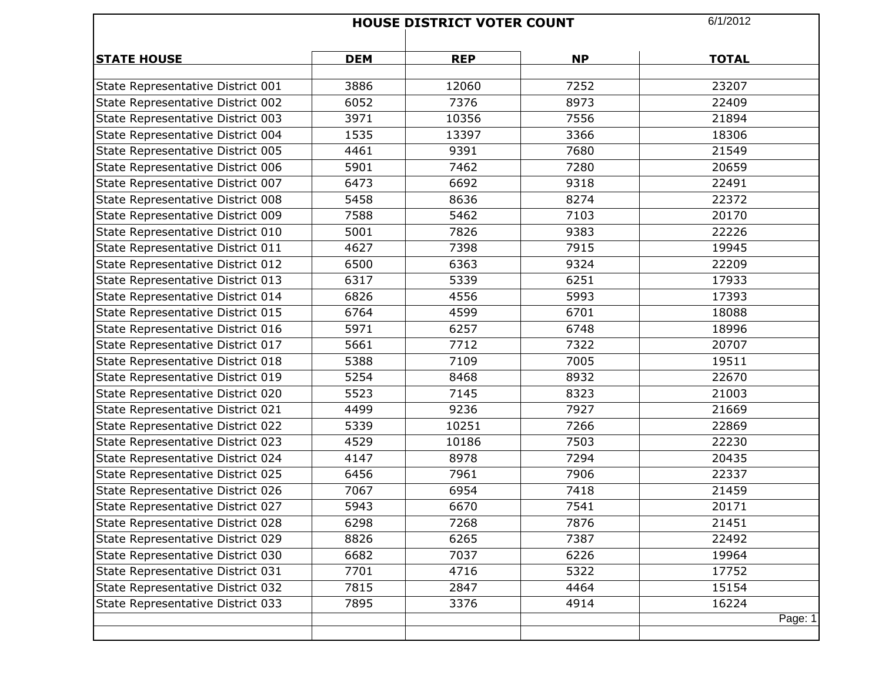|                                   | <b>HOUSE DISTRICT VOTER COUNT</b> |            |           | 6/1/2012     |
|-----------------------------------|-----------------------------------|------------|-----------|--------------|
| <b>STATE HOUSE</b>                | <b>DEM</b>                        | <b>REP</b> | <b>NP</b> | <b>TOTAL</b> |
| State Representative District 001 | 3886                              | 12060      | 7252      | 23207        |
| State Representative District 002 | 6052                              | 7376       | 8973      | 22409        |
| State Representative District 003 | 3971                              | 10356      | 7556      | 21894        |
| State Representative District 004 | 1535                              | 13397      | 3366      | 18306        |
| State Representative District 005 | 4461                              | 9391       | 7680      | 21549        |
| State Representative District 006 | 5901                              | 7462       | 7280      | 20659        |
| State Representative District 007 | 6473                              | 6692       | 9318      | 22491        |
| State Representative District 008 | 5458                              | 8636       | 8274      | 22372        |
| State Representative District 009 | 7588                              | 5462       | 7103      | 20170        |
| State Representative District 010 | 5001                              | 7826       | 9383      | 22226        |
| State Representative District 011 | 4627                              | 7398       | 7915      | 19945        |
| State Representative District 012 | 6500                              | 6363       | 9324      | 22209        |
| State Representative District 013 | 6317                              | 5339       | 6251      | 17933        |
| State Representative District 014 | 6826                              | 4556       | 5993      | 17393        |
| State Representative District 015 | 6764                              | 4599       | 6701      | 18088        |
| State Representative District 016 | 5971                              | 6257       | 6748      | 18996        |
| State Representative District 017 | 5661                              | 7712       | 7322      | 20707        |
| State Representative District 018 | 5388                              | 7109       | 7005      | 19511        |
| State Representative District 019 | 5254                              | 8468       | 8932      | 22670        |
| State Representative District 020 | 5523                              | 7145       | 8323      | 21003        |
| State Representative District 021 | 4499                              | 9236       | 7927      | 21669        |
| State Representative District 022 | 5339                              | 10251      | 7266      | 22869        |
| State Representative District 023 | 4529                              | 10186      | 7503      | 22230        |
| State Representative District 024 | 4147                              | 8978       | 7294      | 20435        |
| State Representative District 025 | 6456                              | 7961       | 7906      | 22337        |
| State Representative District 026 | 7067                              | 6954       | 7418      | 21459        |
| State Representative District 027 | 5943                              | 6670       | 7541      | 20171        |
| State Representative District 028 | 6298                              | 7268       | 7876      | 21451        |
| State Representative District 029 | 8826                              | 6265       | 7387      | 22492        |
| State Representative District 030 | 6682                              | 7037       | 6226      | 19964        |
| State Representative District 031 | 7701                              | 4716       | 5322      | 17752        |
| State Representative District 032 | 7815                              | 2847       | 4464      | 15154        |
| State Representative District 033 | 7895                              | 3376       | 4914      | 16224        |
|                                   |                                   |            |           | Page: 1      |
|                                   |                                   |            |           |              |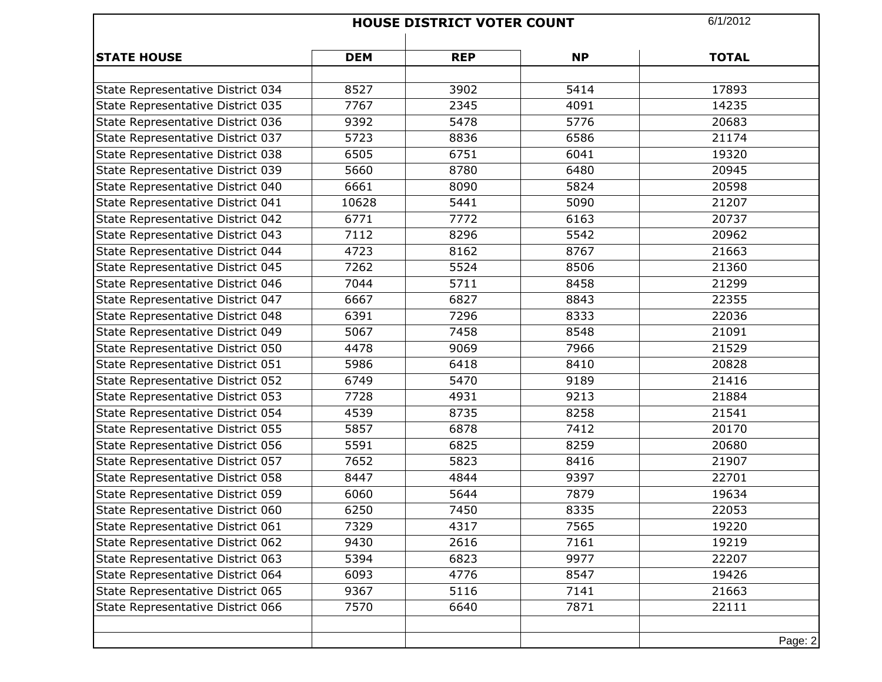|                                                                        |            | <b>HOUSE DISTRICT VOTER COUNT</b> | 6/1/2012  |              |
|------------------------------------------------------------------------|------------|-----------------------------------|-----------|--------------|
| <b>STATE HOUSE</b>                                                     | <b>DEM</b> | <b>REP</b>                        | <b>NP</b> | <b>TOTAL</b> |
| State Representative District 034                                      | 8527       | 3902                              | 5414      | 17893        |
| State Representative District 035                                      | 7767       | 2345                              | 4091      | 14235        |
| State Representative District 036                                      | 9392       | 5478                              | 5776      | 20683        |
| State Representative District 037                                      | 5723       | 8836                              | 6586      | 21174        |
|                                                                        | 6505       | 6751                              | 6041      | 19320        |
| State Representative District 038<br>State Representative District 039 | 5660       | 8780                              | 6480      |              |
|                                                                        |            |                                   |           | 20945        |
| State Representative District 040                                      | 6661       | 8090                              | 5824      | 20598        |
| State Representative District 041                                      | 10628      | 5441                              | 5090      | 21207        |
| State Representative District 042                                      | 6771       | 7772                              | 6163      | 20737        |
| State Representative District 043                                      | 7112       | 8296                              | 5542      | 20962        |
| State Representative District 044                                      | 4723       | 8162                              | 8767      | 21663        |
| State Representative District 045                                      | 7262       | 5524                              | 8506      | 21360        |
| State Representative District 046                                      | 7044       | 5711                              | 8458      | 21299        |
| State Representative District 047                                      | 6667       | 6827                              | 8843      | 22355        |
| State Representative District 048                                      | 6391       | 7296                              | 8333      | 22036        |
| State Representative District 049                                      | 5067       | 7458                              | 8548      | 21091        |
| State Representative District 050                                      | 4478       | 9069                              | 7966      | 21529        |
| State Representative District 051                                      | 5986       | 6418                              | 8410      | 20828        |
| State Representative District 052                                      | 6749       | 5470                              | 9189      | 21416        |
| State Representative District 053                                      | 7728       | 4931                              | 9213      | 21884        |
| State Representative District 054                                      | 4539       | 8735                              | 8258      | 21541        |
| State Representative District 055                                      | 5857       | 6878                              | 7412      | 20170        |
| State Representative District 056                                      | 5591       | 6825                              | 8259      | 20680        |
| State Representative District 057                                      | 7652       | 5823                              | 8416      | 21907        |
| State Representative District 058                                      | 8447       | 4844                              | 9397      | 22701        |
| State Representative District 059                                      | 6060       | 5644                              | 7879      | 19634        |
| State Representative District 060                                      | 6250       | 7450                              | 8335      | 22053        |
| State Representative District 061                                      | 7329       | 4317                              | 7565      | 19220        |
| State Representative District 062                                      | 9430       | 2616                              | 7161      | 19219        |
| State Representative District 063                                      | 5394       | 6823                              | 9977      | 22207        |
| State Representative District 064                                      | 6093       | 4776                              | 8547      | 19426        |
| State Representative District 065                                      | 9367       | 5116                              | 7141      | 21663        |
| State Representative District 066                                      | 7570       | 6640                              | 7871      | 22111        |
|                                                                        |            |                                   |           | Page: 2      |